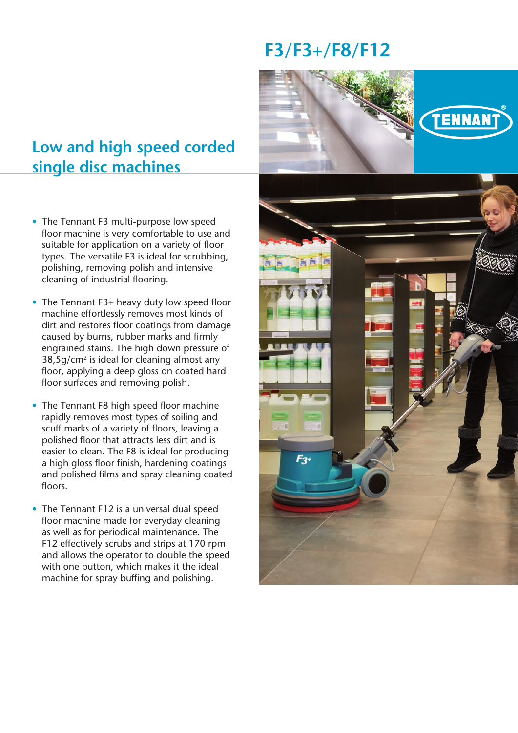# **Low and high speed corded single disc machines**

- The Tennant F3 multi-purpose low speed floor machine is very comfortable to use and suitable for application on a variety of floor types. The versatile F3 is ideal for scrubbing, polishing, removing polish and intensive cleaning of industrial flooring.
- The Tennant F3+ heavy duty low speed floor machine effortlessly removes most kinds of dirt and restores floor coatings from damage caused by burns, rubber marks and firmly engrained stains. The high down pressure of 38,5g/cm2 is ideal for cleaning almost any floor, applying a deep gloss on coated hard floor surfaces and removing polish.
- The Tennant F8 high speed floor machine rapidly removes most types of soiling and scuff marks of a variety of floors, leaving a polished floor that attracts less dirt and is easier to clean. The F8 is ideal for producing a high gloss floor finish, hardening coatings and polished films and spray cleaning coated floors.
- The Tennant F12 is a universal dual speed floor machine made for everyday cleaning as well as for periodical maintenance. The F12 effectively scrubs and strips at 170 rpm and allows the operator to double the speed with one button, which makes it the ideal machine for spray buffing and polishing.

# **F3/F3+/F8/F12**